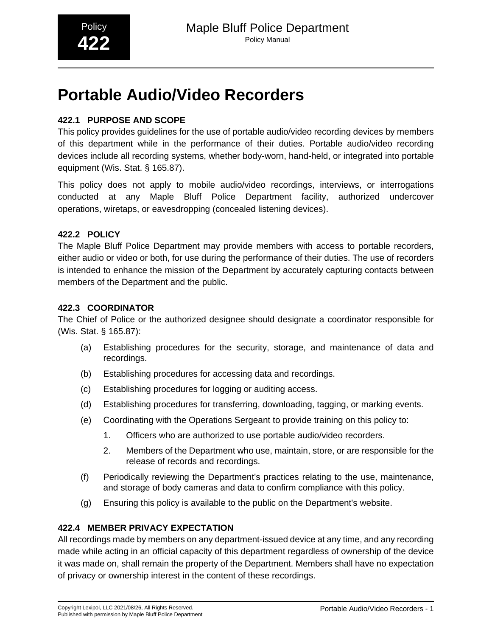# **Portable Audio/Video Recorders**

# **422.1 PURPOSE AND SCOPE**

This policy provides guidelines for the use of portable audio/video recording devices by members of this department while in the performance of their duties. Portable audio/video recording devices include all recording systems, whether body-worn, hand-held, or integrated into portable equipment (Wis. Stat. § 165.87).

This policy does not apply to mobile audio/video recordings, interviews, or interrogations conducted at any Maple Bluff Police Department facility, authorized undercover operations, wiretaps, or eavesdropping (concealed listening devices).

## **422.2 POLICY**

The Maple Bluff Police Department may provide members with access to portable recorders, either audio or video or both, for use during the performance of their duties. The use of recorders is intended to enhance the mission of the Department by accurately capturing contacts between members of the Department and the public.

#### **422.3 COORDINATOR**

The Chief of Police or the authorized designee should designate a coordinator responsible for (Wis. Stat. § 165.87):

- (a) Establishing procedures for the security, storage, and maintenance of data and recordings.
- (b) Establishing procedures for accessing data and recordings.
- (c) Establishing procedures for logging or auditing access.
- (d) Establishing procedures for transferring, downloading, tagging, or marking events.
- (e) Coordinating with the Operations Sergeant to provide training on this policy to:
	- 1. Officers who are authorized to use portable audio/video recorders.
	- 2. Members of the Department who use, maintain, store, or are responsible for the release of records and recordings.
- (f) Periodically reviewing the Department's practices relating to the use, maintenance, and storage of body cameras and data to confirm compliance with this policy.
- (g) Ensuring this policy is available to the public on the Department's website.

#### **422.4 MEMBER PRIVACY EXPECTATION**

All recordings made by members on any department-issued device at any time, and any recording made while acting in an official capacity of this department regardless of ownership of the device it was made on, shall remain the property of the Department. Members shall have no expectation of privacy or ownership interest in the content of these recordings.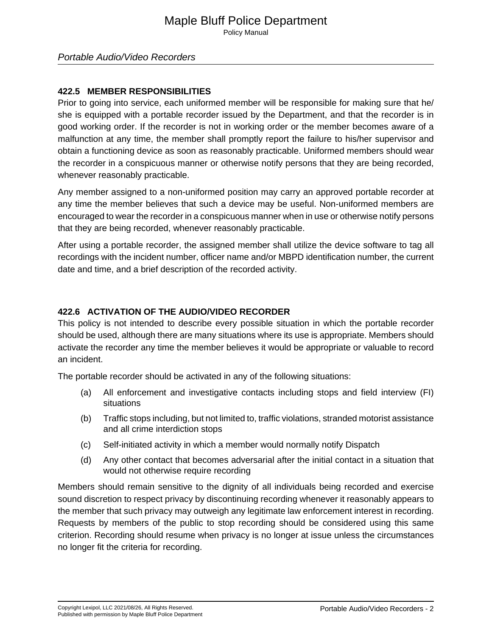# Maple Bluff Police Department

Policy Manual

#### **422.5 MEMBER RESPONSIBILITIES**

Prior to going into service, each uniformed member will be responsible for making sure that he/ she is equipped with a portable recorder issued by the Department, and that the recorder is in good working order. If the recorder is not in working order or the member becomes aware of a malfunction at any time, the member shall promptly report the failure to his/her supervisor and obtain a functioning device as soon as reasonably practicable. Uniformed members should wear the recorder in a conspicuous manner or otherwise notify persons that they are being recorded, whenever reasonably practicable.

Any member assigned to a non-uniformed position may carry an approved portable recorder at any time the member believes that such a device may be useful. Non-uniformed members are encouraged to wear the recorder in a conspicuous manner when in use or otherwise notify persons that they are being recorded, whenever reasonably practicable.

After using a portable recorder, the assigned member shall utilize the device software to tag all recordings with the incident number, officer name and/or MBPD identification number, the current date and time, and a brief description of the recorded activity.

#### **422.6 ACTIVATION OF THE AUDIO/VIDEO RECORDER**

This policy is not intended to describe every possible situation in which the portable recorder should be used, although there are many situations where its use is appropriate. Members should activate the recorder any time the member believes it would be appropriate or valuable to record an incident.

The portable recorder should be activated in any of the following situations:

- (a) All enforcement and investigative contacts including stops and field interview (FI) situations
- (b) Traffic stops including, but not limited to, traffic violations, stranded motorist assistance and all crime interdiction stops
- (c) Self-initiated activity in which a member would normally notify Dispatch
- (d) Any other contact that becomes adversarial after the initial contact in a situation that would not otherwise require recording

Members should remain sensitive to the dignity of all individuals being recorded and exercise sound discretion to respect privacy by discontinuing recording whenever it reasonably appears to the member that such privacy may outweigh any legitimate law enforcement interest in recording. Requests by members of the public to stop recording should be considered using this same criterion. Recording should resume when privacy is no longer at issue unless the circumstances no longer fit the criteria for recording.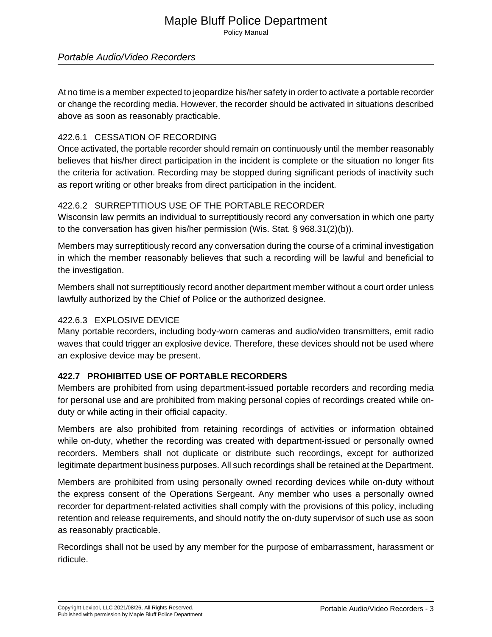# Maple Bluff Police Department

Policy Manual

### Portable Audio/Video Recorders

At no time is a member expected to jeopardize his/her safety in order to activate a portable recorder or change the recording media. However, the recorder should be activated in situations described above as soon as reasonably practicable.

### 422.6.1 CESSATION OF RECORDING

Once activated, the portable recorder should remain on continuously until the member reasonably believes that his/her direct participation in the incident is complete or the situation no longer fits the criteria for activation. Recording may be stopped during significant periods of inactivity such as report writing or other breaks from direct participation in the incident.

#### 422.6.2 SURREPTITIOUS USE OF THE PORTABLE RECORDER

Wisconsin law permits an individual to surreptitiously record any conversation in which one party to the conversation has given his/her permission (Wis. Stat. § 968.31(2)(b)).

Members may surreptitiously record any conversation during the course of a criminal investigation in which the member reasonably believes that such a recording will be lawful and beneficial to the investigation.

Members shall not surreptitiously record another department member without a court order unless lawfully authorized by the Chief of Police or the authorized designee.

#### 422.6.3 EXPLOSIVE DEVICE

Many portable recorders, including body-worn cameras and audio/video transmitters, emit radio waves that could trigger an explosive device. Therefore, these devices should not be used where an explosive device may be present.

#### **422.7 PROHIBITED USE OF PORTABLE RECORDERS**

Members are prohibited from using department-issued portable recorders and recording media for personal use and are prohibited from making personal copies of recordings created while onduty or while acting in their official capacity.

Members are also prohibited from retaining recordings of activities or information obtained while on-duty, whether the recording was created with department-issued or personally owned recorders. Members shall not duplicate or distribute such recordings, except for authorized legitimate department business purposes. All such recordings shall be retained at the Department.

Members are prohibited from using personally owned recording devices while on-duty without the express consent of the Operations Sergeant. Any member who uses a personally owned recorder for department-related activities shall comply with the provisions of this policy, including retention and release requirements, and should notify the on-duty supervisor of such use as soon as reasonably practicable.

Recordings shall not be used by any member for the purpose of embarrassment, harassment or ridicule.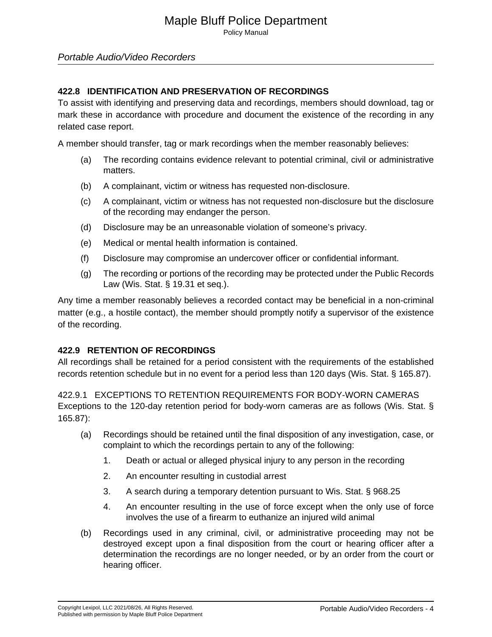Policy Manual

### Portable Audio/Video Recorders

### **422.8 IDENTIFICATION AND PRESERVATION OF RECORDINGS**

To assist with identifying and preserving data and recordings, members should download, tag or mark these in accordance with procedure and document the existence of the recording in any related case report.

A member should transfer, tag or mark recordings when the member reasonably believes:

- (a) The recording contains evidence relevant to potential criminal, civil or administrative matters.
- (b) A complainant, victim or witness has requested non-disclosure.
- (c) A complainant, victim or witness has not requested non-disclosure but the disclosure of the recording may endanger the person.
- (d) Disclosure may be an unreasonable violation of someone's privacy.
- (e) Medical or mental health information is contained.
- (f) Disclosure may compromise an undercover officer or confidential informant.
- (g) The recording or portions of the recording may be protected under the Public Records Law (Wis. Stat. § 19.31 et seq.).

Any time a member reasonably believes a recorded contact may be beneficial in a non-criminal matter (e.g., a hostile contact), the member should promptly notify a supervisor of the existence of the recording.

#### **422.9 RETENTION OF RECORDINGS**

All recordings shall be retained for a period consistent with the requirements of the established records retention schedule but in no event for a period less than 120 days (Wis. Stat. § 165.87).

422.9.1 EXCEPTIONS TO RETENTION REQUIREMENTS FOR BODY-WORN CAMERAS Exceptions to the 120-day retention period for body-worn cameras are as follows (Wis. Stat. § 165.87):

- (a) Recordings should be retained until the final disposition of any investigation, case, or complaint to which the recordings pertain to any of the following:
	- 1. Death or actual or alleged physical injury to any person in the recording
	- 2. An encounter resulting in custodial arrest
	- 3. A search during a temporary detention pursuant to Wis. Stat. § 968.25
	- 4. An encounter resulting in the use of force except when the only use of force involves the use of a firearm to euthanize an injured wild animal
- (b) Recordings used in any criminal, civil, or administrative proceeding may not be destroyed except upon a final disposition from the court or hearing officer after a determination the recordings are no longer needed, or by an order from the court or hearing officer.